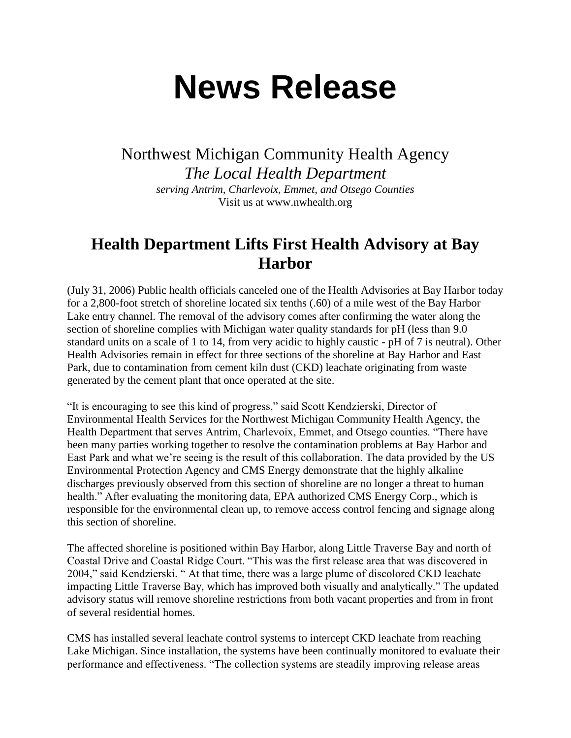## **News Release**

Northwest Michigan Community Health Agency *The Local Health Department serving Antrim, Charlevoix, Emmet, and Otsego Counties* Visit us at www.nwhealth.org

## **Health Department Lifts First Health Advisory at Bay Harbor**

(July 31, 2006) Public health officials canceled one of the Health Advisories at Bay Harbor today for a 2,800-foot stretch of shoreline located six tenths (.60) of a mile west of the Bay Harbor Lake entry channel. The removal of the advisory comes after confirming the water along the section of shoreline complies with Michigan water quality standards for pH (less than 9.0 standard units on a scale of 1 to 14, from very acidic to highly caustic - pH of 7 is neutral). Other Health Advisories remain in effect for three sections of the shoreline at Bay Harbor and East Park, due to contamination from cement kiln dust (CKD) leachate originating from waste generated by the cement plant that once operated at the site.

"It is encouraging to see this kind of progress," said Scott Kendzierski, Director of Environmental Health Services for the Northwest Michigan Community Health Agency, the Health Department that serves Antrim, Charlevoix, Emmet, and Otsego counties. "There have been many parties working together to resolve the contamination problems at Bay Harbor and East Park and what we're seeing is the result of this collaboration. The data provided by the US Environmental Protection Agency and CMS Energy demonstrate that the highly alkaline discharges previously observed from this section of shoreline are no longer a threat to human health." After evaluating the monitoring data, EPA authorized CMS Energy Corp., which is responsible for the environmental clean up, to remove access control fencing and signage along this section of shoreline.

The affected shoreline is positioned within Bay Harbor, along Little Traverse Bay and north of Coastal Drive and Coastal Ridge Court. "This was the first release area that was discovered in 2004," said Kendzierski. " At that time, there was a large plume of discolored CKD leachate impacting Little Traverse Bay, which has improved both visually and analytically." The updated advisory status will remove shoreline restrictions from both vacant properties and from in front of several residential homes.

CMS has installed several leachate control systems to intercept CKD leachate from reaching Lake Michigan. Since installation, the systems have been continually monitored to evaluate their performance and effectiveness. "The collection systems are steadily improving release areas